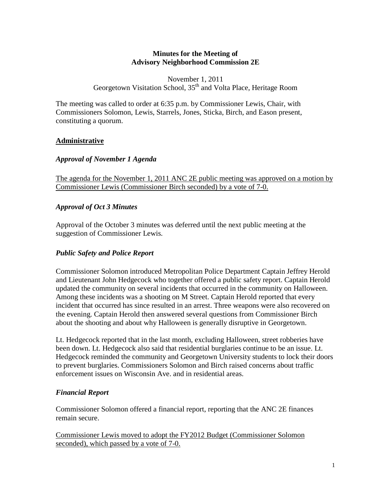### **Minutes for the Meeting of Advisory Neighborhood Commission 2E**

#### November 1, 2011 Georgetown Visitation School, 35<sup>th</sup> and Volta Place, Heritage Room

The meeting was called to order at 6:35 p.m. by Commissioner Lewis, Chair, with Commissioners Solomon, Lewis, Starrels, Jones, Sticka, Birch, and Eason present, constituting a quorum.

### **Administrative**

### *Approval of November 1 Agenda*

The agenda for the November 1, 2011 ANC 2E public meeting was approved on a motion by Commissioner Lewis (Commissioner Birch seconded) by a vote of 7-0.

### *Approval of Oct 3 Minutes*

Approval of the October 3 minutes was deferred until the next public meeting at the suggestion of Commissioner Lewis.

### *Public Safety and Police Report*

Commissioner Solomon introduced Metropolitan Police Department Captain Jeffrey Herold and Lieutenant John Hedgecock who together offered a public safety report. Captain Herold updated the community on several incidents that occurred in the community on Halloween. Among these incidents was a shooting on M Street. Captain Herold reported that every incident that occurred has since resulted in an arrest. Three weapons were also recovered on the evening. Captain Herold then answered several questions from Commissioner Birch about the shooting and about why Halloween is generally disruptive in Georgetown.

Lt. Hedgecock reported that in the last month, excluding Halloween, street robberies have been down. Lt. Hedgecock also said that residential burglaries continue to be an issue. Lt. Hedgecock reminded the community and Georgetown University students to lock their doors to prevent burglaries. Commissioners Solomon and Birch raised concerns about traffic enforcement issues on Wisconsin Ave. and in residential areas.

### *Financial Report*

Commissioner Solomon offered a financial report, reporting that the ANC 2E finances remain secure.

Commissioner Lewis moved to adopt the FY2012 Budget (Commissioner Solomon seconded), which passed by a vote of 7-0.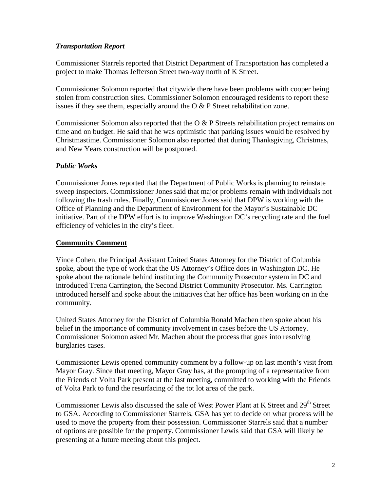## *Transportation Report*

Commissioner Starrels reported that District Department of Transportation has completed a project to make Thomas Jefferson Street two-way north of K Street.

Commissioner Solomon reported that citywide there have been problems with cooper being stolen from construction sites. Commissioner Solomon encouraged residents to report these issues if they see them, especially around the  $\overline{O} \& P$  Street rehabilitation zone.

Commissioner Solomon also reported that the O & P Streets rehabilitation project remains on time and on budget. He said that he was optimistic that parking issues would be resolved by Christmastime. Commissioner Solomon also reported that during Thanksgiving, Christmas, and New Years construction will be postponed.

## *Public Works*

Commissioner Jones reported that the Department of Public Works is planning to reinstate sweep inspectors. Commissioner Jones said that major problems remain with individuals not following the trash rules. Finally, Commissioner Jones said that DPW is working with the Office of Planning and the Department of Environment for the Mayor's Sustainable DC initiative. Part of the DPW effort is to improve Washington DC's recycling rate and the fuel efficiency of vehicles in the city's fleet.

### **Community Comment**

Vince Cohen, the Principal Assistant United States Attorney for the District of Columbia spoke, about the type of work that the US Attorney's Office does in Washington DC. He spoke about the rationale behind instituting the Community Prosecutor system in DC and introduced Trena Carrington, the Second District Community Prosecutor. Ms. Carrington introduced herself and spoke about the initiatives that her office has been working on in the community.

United States Attorney for the District of Columbia Ronald Machen then spoke about his belief in the importance of community involvement in cases before the US Attorney. Commissioner Solomon asked Mr. Machen about the process that goes into resolving burglaries cases.

Commissioner Lewis opened community comment by a follow-up on last month's visit from Mayor Gray. Since that meeting, Mayor Gray has, at the prompting of a representative from the Friends of Volta Park present at the last meeting, committed to working with the Friends of Volta Park to fund the resurfacing of the tot lot area of the park.

Commissioner Lewis also discussed the sale of West Power Plant at K Street and 29<sup>th</sup> Street to GSA. According to Commissioner Starrels, GSA has yet to decide on what process will be used to move the property from their possession. Commissioner Starrels said that a number of options are possible for the property. Commissioner Lewis said that GSA will likely be presenting at a future meeting about this project.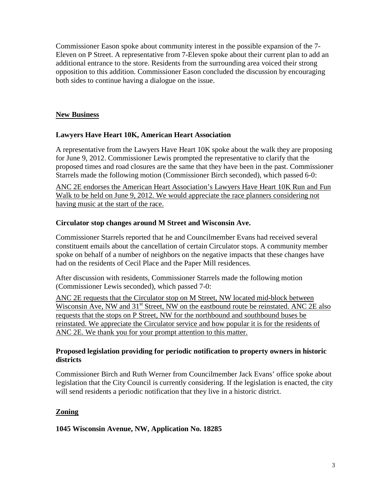Commissioner Eason spoke about community interest in the possible expansion of the 7- Eleven on P Street. A representative from 7-Eleven spoke about their current plan to add an additional entrance to the store. Residents from the surrounding area voiced their strong opposition to this addition. Commissioner Eason concluded the discussion by encouraging both sides to continue having a dialogue on the issue.

## **New Business**

## **Lawyers Have Heart 10K, American Heart Association**

A representative from the Lawyers Have Heart 10K spoke about the walk they are proposing for June 9, 2012. Commissioner Lewis prompted the representative to clarify that the proposed times and road closures are the same that they have been in the past. Commissioner Starrels made the following motion (Commissioner Birch seconded), which passed 6-0:

ANC 2E endorses the American Heart Association's Lawyers Have Heart 10K Run and Fun Walk to be held on June 9, 2012. We would appreciate the race planners considering not having music at the start of the race.

### **Circulator stop changes around M Street and Wisconsin Ave.**

Commissioner Starrels reported that he and Councilmember Evans had received several constituent emails about the cancellation of certain Circulator stops. A community member spoke on behalf of a number of neighbors on the negative impacts that these changes have had on the residents of Cecil Place and the Paper Mill residences.

After discussion with residents, Commissioner Starrels made the following motion (Commissioner Lewis seconded), which passed 7-0:

ANC 2E requests that the Circulator stop on M Street, NW located mid-block between Wisconsin Ave, NW and  $31<sup>st</sup>$  Street, NW on the eastbound route be reinstated. ANC 2E also requests that the stops on P Street, NW for the northbound and southbound buses be reinstated. We appreciate the Circulator service and how popular it is for the residents of ANC 2E. We thank you for your prompt attention to this matter.

### **Proposed legislation providing for periodic notification to property owners in historic districts**

Commissioner Birch and Ruth Werner from Councilmember Jack Evans' office spoke about legislation that the City Council is currently considering. If the legislation is enacted, the city will send residents a periodic notification that they live in a historic district.

# **Zoning**

**1045 Wisconsin Avenue, NW, Application No. 18285**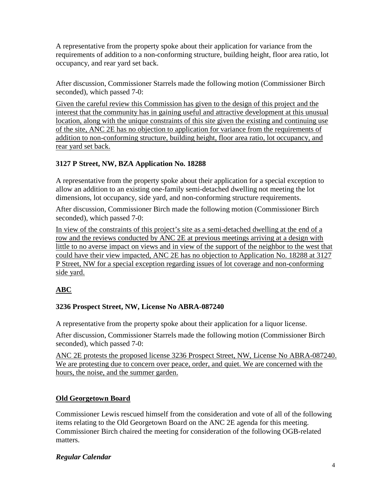A representative from the property spoke about their application for variance from the requirements of addition to a non-conforming structure, building height, floor area ratio, lot occupancy, and rear yard set back.

After discussion, Commissioner Starrels made the following motion (Commissioner Birch seconded), which passed 7-0:

Given the careful review this Commission has given to the design of this project and the interest that the community has in gaining useful and attractive development at this unusual location, along with the unique constraints of this site given the existing and continuing use of the site, ANC 2E has no objection to application for variance from the requirements of addition to non-conforming structure, building height, floor area ratio, lot occupancy, and rear yard set back.

# **3127 P Street, NW, BZA Application No. 18288**

A representative from the property spoke about their application for a special exception to allow an addition to an existing one-family semi-detached dwelling not meeting the lot dimensions, lot occupancy, side yard, and non-conforming structure requirements.

After discussion, Commissioner Birch made the following motion (Commissioner Birch seconded), which passed 7-0:

In view of the constraints of this project's site as a semi-detached dwelling at the end of a row and the reviews conducted by ANC 2E at previous meetings arriving at a design with little to no averse impact on views and in view of the support of the neighbor to the west that could have their view impacted, ANC 2E has no objection to Application No. 18288 at 3127 P Street, NW for a special exception regarding issues of lot coverage and non-conforming side yard.

# **ABC**

### **3236 Prospect Street, NW, License No ABRA-087240**

A representative from the property spoke about their application for a liquor license.

After discussion, Commissioner Starrels made the following motion (Commissioner Birch seconded), which passed 7-0:

ANC 2E protests the proposed license 3236 Prospect Street, NW, License No ABRA-087240. We are protesting due to concern over peace, order, and quiet. We are concerned with the hours, the noise, and the summer garden.

# **Old Georgetown Board**

Commissioner Lewis rescued himself from the consideration and vote of all of the following items relating to the Old Georgetown Board on the ANC 2E agenda for this meeting. Commissioner Birch chaired the meeting for consideration of the following OGB-related matters.

### *Regular Calendar*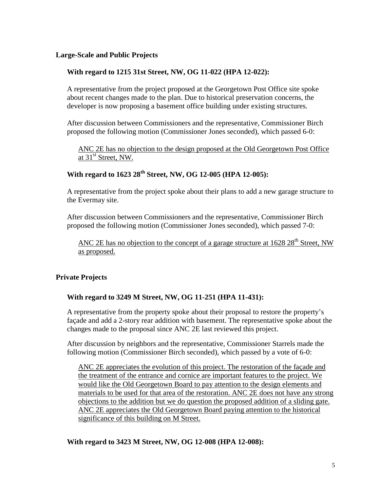#### **Large-Scale and Public Projects**

#### **With regard to 1215 31st Street, NW, OG 11-022 (HPA 12-022):**

A representative from the project proposed at the Georgetown Post Office site spoke about recent changes made to the plan. Due to historical preservation concerns, the developer is now proposing a basement office building under existing structures.

After discussion between Commissioners and the representative, Commissioner Birch proposed the following motion (Commissioner Jones seconded), which passed 6-0:

ANC 2E has no objection to the design proposed at the Old Georgetown Post Office at 31<sup>st</sup> Street, NW.

# **With regard to 1623 28th Street, NW, OG 12-005 (HPA 12-005):**

A representative from the project spoke about their plans to add a new garage structure to the Evermay site.

After discussion between Commissioners and the representative, Commissioner Birch proposed the following motion (Commissioner Jones seconded), which passed 7-0:

ANC 2E has no objection to the concept of a garage structure at  $1628\ 28^{th}$  Street, NW as proposed.

### **Private Projects**

#### **With regard to 3249 M Street, NW, OG 11-251 (HPA 11-431):**

A representative from the property spoke about their proposal to restore the property's façade and add a 2-story rear addition with basement. The representative spoke about the changes made to the proposal since ANC 2E last reviewed this project.

After discussion by neighbors and the representative, Commissioner Starrels made the following motion (Commissioner Birch seconded), which passed by a vote of 6-0:

ANC 2E appreciates the evolution of this project. The restoration of the façade and the treatment of the entrance and cornice are important features to the project. We would like the Old Georgetown Board to pay attention to the design elements and materials to be used for that area of the restoration. ANC 2E does not have any strong objections to the addition but we do question the proposed addition of a sliding gate. ANC 2E appreciates the Old Georgetown Board paying attention to the historical significance of this building on M Street.

**With regard to 3423 M Street, NW, OG 12-008 (HPA 12-008):**